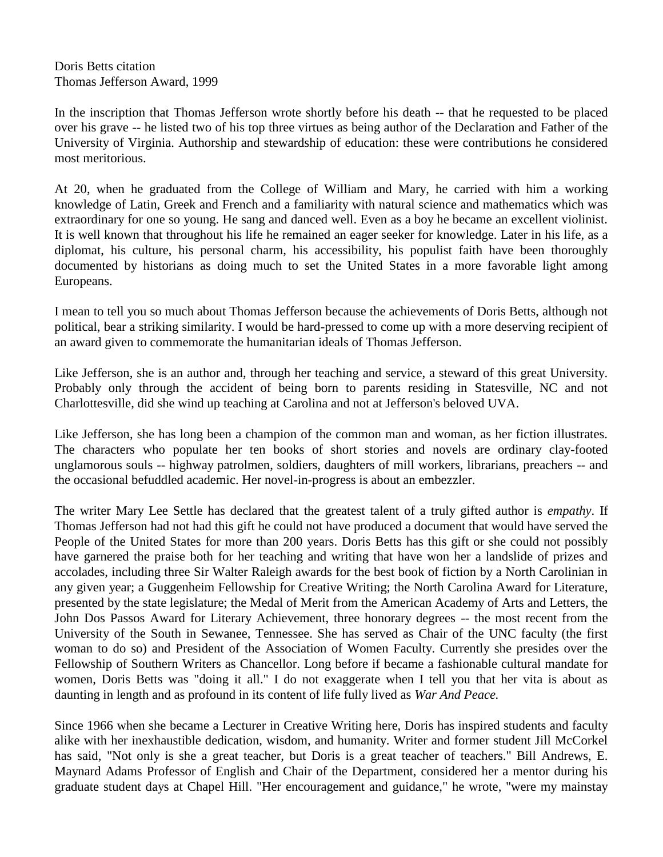Doris Betts citation Thomas Jefferson Award, 1999

In the inscription that Thomas Jefferson wrote shortly before his death -- that he requested to be placed over his grave -- he listed two of his top three virtues as being author of the Declaration and Father of the University of Virginia. Authorship and stewardship of education: these were contributions he considered most meritorious.

At 20, when he graduated from the College of William and Mary, he carried with him a working knowledge of Latin, Greek and French and a familiarity with natural science and mathematics which was extraordinary for one so young. He sang and danced well. Even as a boy he became an excellent violinist. It is well known that throughout his life he remained an eager seeker for knowledge. Later in his life, as a diplomat, his culture, his personal charm, his accessibility, his populist faith have been thoroughly documented by historians as doing much to set the United States in a more favorable light among Europeans.

I mean to tell you so much about Thomas Jefferson because the achievements of Doris Betts, although not political, bear a striking similarity. I would be hard-pressed to come up with a more deserving recipient of an award given to commemorate the humanitarian ideals of Thomas Jefferson.

Like Jefferson, she is an author and, through her teaching and service, a steward of this great University. Probably only through the accident of being born to parents residing in Statesville, NC and not Charlottesville, did she wind up teaching at Carolina and not at Jefferson's beloved UVA.

Like Jefferson, she has long been a champion of the common man and woman, as her fiction illustrates. The characters who populate her ten books of short stories and novels are ordinary clay-footed unglamorous souls -- highway patrolmen, soldiers, daughters of mill workers, librarians, preachers -- and the occasional befuddled academic. Her novel-in-progress is about an embezzler.

The writer Mary Lee Settle has declared that the greatest talent of a truly gifted author is *empathy*. If Thomas Jefferson had not had this gift he could not have produced a document that would have served the People of the United States for more than 200 years. Doris Betts has this gift or she could not possibly have garnered the praise both for her teaching and writing that have won her a landslide of prizes and accolades, including three Sir Walter Raleigh awards for the best book of fiction by a North Carolinian in any given year; a Guggenheim Fellowship for Creative Writing; the North Carolina Award for Literature, presented by the state legislature; the Medal of Merit from the American Academy of Arts and Letters, the John Dos Passos Award for Literary Achievement, three honorary degrees -- the most recent from the University of the South in Sewanee, Tennessee. She has served as Chair of the UNC faculty (the first woman to do so) and President of the Association of Women Faculty. Currently she presides over the Fellowship of Southern Writers as Chancellor. Long before if became a fashionable cultural mandate for women, Doris Betts was "doing it all." I do not exaggerate when I tell you that her vita is about as daunting in length and as profound in its content of life fully lived as *War And Peace.*

Since 1966 when she became a Lecturer in Creative Writing here, Doris has inspired students and faculty alike with her inexhaustible dedication, wisdom, and humanity. Writer and former student Jill McCorkel has said, "Not only is she a great teacher, but Doris is a great teacher of teachers." Bill Andrews, E. Maynard Adams Professor of English and Chair of the Department, considered her a mentor during his graduate student days at Chapel Hill. "Her encouragement and guidance," he wrote, "were my mainstay